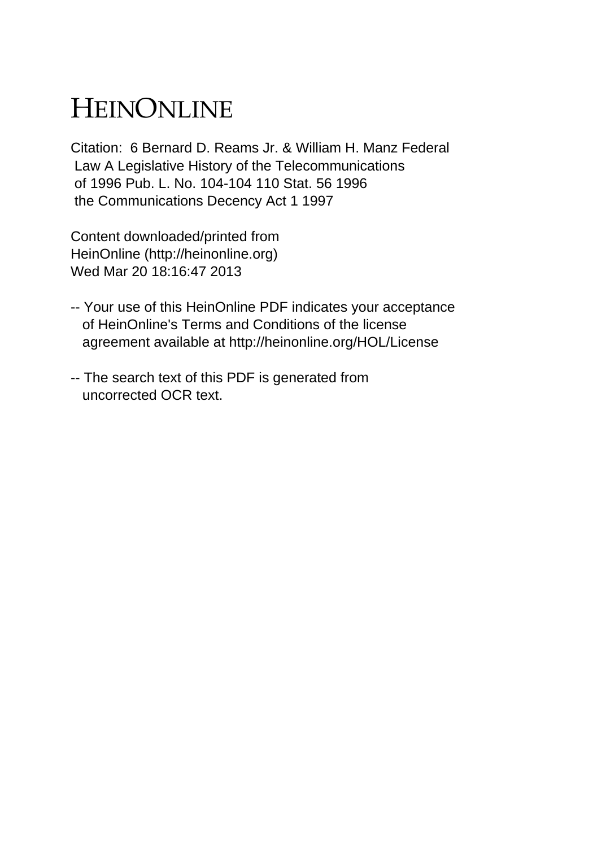## HEINONLINE

Citation: 6 Bernard D. Reams Jr. & William H. Manz Federal Law A Legislative History of the Telecommunications of 1996 Pub. L. No. 104-104 110 Stat. 56 1996 the Communications Decency Act 1 1997

Content downloaded/printed from HeinOnline (http://heinonline.org) Wed Mar 20 18:16:47 2013

- -- Your use of this HeinOnline PDF indicates your acceptance of HeinOnline's Terms and Conditions of the license agreement available at http://heinonline.org/HOL/License
- -- The search text of this PDF is generated from uncorrected OCR text.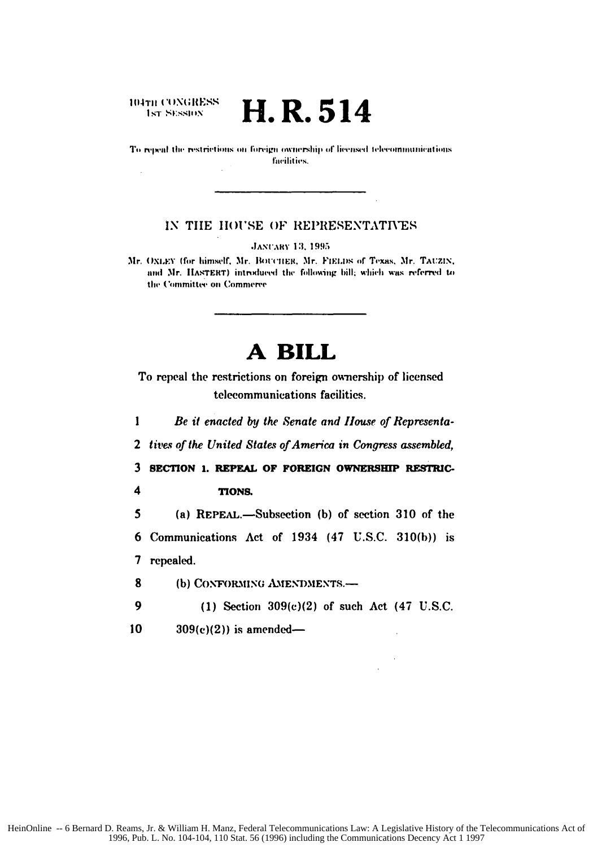104TH CONGRESS **1st SESSION** 

H.R.514

To repeal the restrictions on foreign ownership of licensed telecommunications facilities.

## IN THE HOUSE OF REPRESENTATIVES

**JANUARY 13, 1995** 

Mr. OXLEY (for himself, Mr. BOUCHER, Mr. FIELDS of Texas, Mr. TAUZIN, and Mr. HASTERT) introduced the following bill; which was referred to the Committee on Commerce

## A BILL

To repeal the restrictions on foreign ownership of licensed telecommunications facilities.

 $\mathbf{1}$ Be it enacted by the Senate and House of Representa-2 tives of the United States of America in Congress assembled. 3 SECTION 1. REPEAL OF FOREIGN OWNERSHIP RESTRIC-4 TIONS. 5 (a) REPEAL.—Subsection (b) of section 310 of the 6 Communications Act of 1934 (47 U.S.C. 310(b)) is 7 repealed. 8 (b) CONFORMING AMENDMENTS.-

9 (1) Section  $309(c)(2)$  of such Act (47 U.S.C.

10  $309(c)(2)$ ) is amended—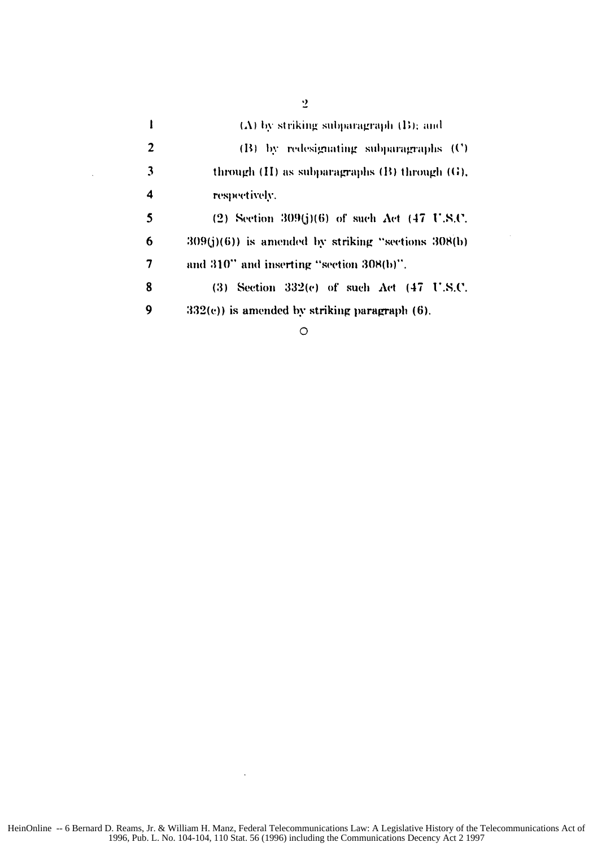| I              | $(\Lambda)$ by striking subparagraph $(\mathrm{B})$ ; and |
|----------------|-----------------------------------------------------------|
| $\overline{2}$ | (B) by redesignating subparagraphs (C)                    |
| 3              | through $(II)$ as subparagraphs $(B)$ through $(G)$ ,     |
| 4              | respectively.                                             |
| 5              | (2) Section 309(j)(6) of such Act $(47 \text{ U.S.C.})$   |
| 6              | $309(j)(6)$ ) is amended by striking "sections $308(b)$   |
| 7              | and 310" and inserting "section 308(b)".                  |
| 8              | $(3)$ Section 332 $(e)$ of such Act $(47 \text{ V.S.C.})$ |
| 9              | $332(e)$ ) is amended by striking paragraph $(6)$ .       |

 $\sim 10^6$ 

 $\circ$ 

 $\bar{\mathcal{A}}$ 

 $\dot{2}$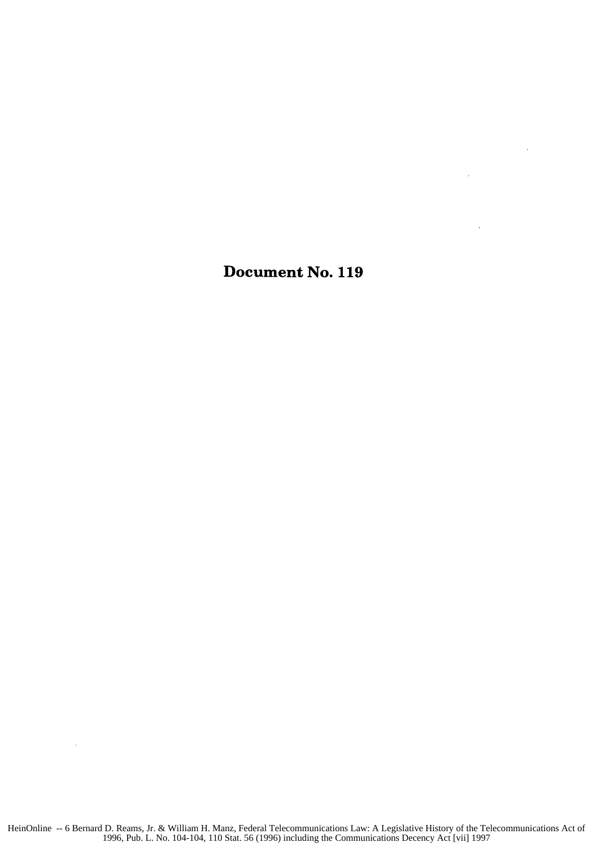Document No. **119**

 $\sim 10$ 

 $\sim$ 

 $\ddot{\phantom{a}}$ 

 $\sim$   $\sim$